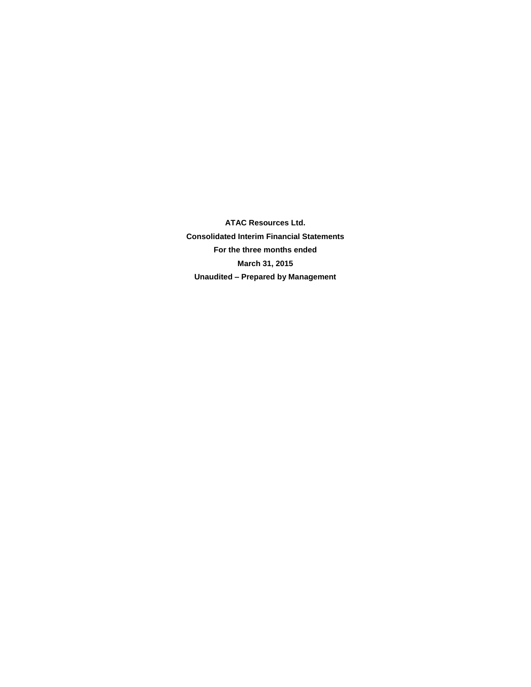**ATAC Resources Ltd. Consolidated Interim Financial Statements For the three months ended March 31, 2015 Unaudited – Prepared by Management**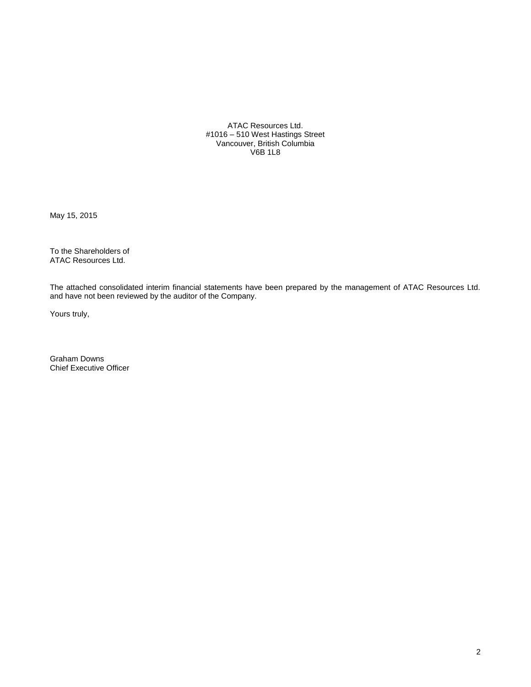ATAC Resources Ltd. #1016 – 510 West Hastings Street Vancouver, British Columbia V6B 1L8

May 15, 2015

To the Shareholders of ATAC Resources Ltd.

The attached consolidated interim financial statements have been prepared by the management of ATAC Resources Ltd. and have not been reviewed by the auditor of the Company.

Yours truly,

Graham Downs Chief Executive Officer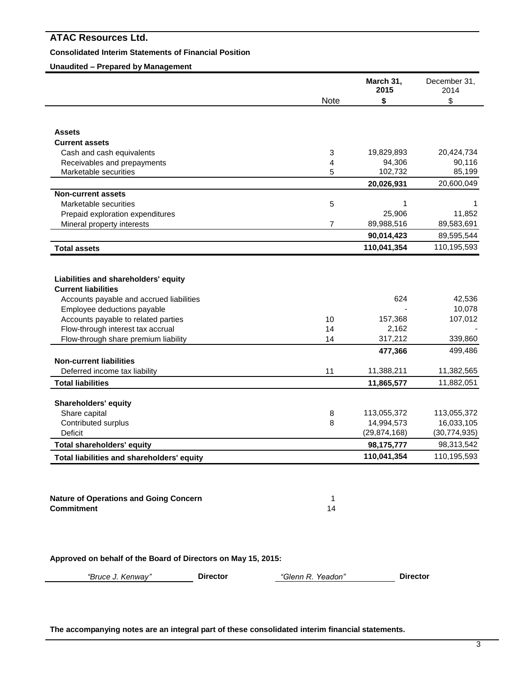# **Consolidated Interim Statements of Financial Position**

# **Unaudited – Prepared by Management**

|                                                                                                                |                | March 31,<br>2015 | December 31,<br>2014                                      |
|----------------------------------------------------------------------------------------------------------------|----------------|-------------------|-----------------------------------------------------------|
|                                                                                                                | <b>Note</b>    | \$                | \$                                                        |
|                                                                                                                |                |                   |                                                           |
| <b>Assets</b>                                                                                                  |                |                   |                                                           |
| <b>Current assets</b>                                                                                          |                |                   |                                                           |
| Cash and cash equivalents                                                                                      | 3              | 19,829,893        | 20,424,734                                                |
| Receivables and prepayments                                                                                    | 4              | 94,306            | 90,116                                                    |
| Marketable securities                                                                                          | 5              | 102,732           | 85,199                                                    |
|                                                                                                                |                | 20,026,931        | 20,600,049                                                |
| <b>Non-current assets</b>                                                                                      |                |                   |                                                           |
| Marketable securities                                                                                          | 5              |                   | 1                                                         |
| Prepaid exploration expenditures                                                                               |                | 25,906            | 11,852                                                    |
| Mineral property interests                                                                                     | $\overline{7}$ | 89,988,516        | 89,583,691                                                |
|                                                                                                                |                | 90,014,423        | 89,595,544                                                |
| <b>Total assets</b>                                                                                            |                | 110,041,354       | 110,195,593                                               |
| Accounts payable and accrued liabilities<br>Employee deductions payable<br>Accounts payable to related parties |                | 624<br>157,368    | 42,536<br>10,078<br>107,012                               |
|                                                                                                                | 10             |                   |                                                           |
|                                                                                                                | 14             | 2,162             |                                                           |
| Flow-through interest tax accrual                                                                              | 14             | 317,212           |                                                           |
| Flow-through share premium liability                                                                           |                | 477,366           |                                                           |
| <b>Non-current liabilities</b>                                                                                 |                |                   |                                                           |
| Deferred income tax liability                                                                                  | 11             | 11,388,211        |                                                           |
| <b>Total liabilities</b>                                                                                       |                | 11,865,577        | 339,860<br>499,486<br>11,382,565<br>11,882,051            |
|                                                                                                                |                |                   |                                                           |
| <b>Shareholders' equity</b>                                                                                    | 8              | 113,055,372       |                                                           |
| Share capital<br>Contributed surplus                                                                           | 8              | 14,994,573        |                                                           |
| Deficit                                                                                                        |                | (29, 874, 168)    |                                                           |
| <b>Total shareholders' equity</b>                                                                              |                | 98,175,777        | 113,055,372<br>16,033,105<br>(30, 774, 935)<br>98,313,542 |

**Nature of Operations and Going Concern** 1 **Commitment** 14

**Approved on behalf of the Board of Directors on May 15, 2015:**

*"Bruce J. Kenway"* **Director** *"Glenn R. Yeadon"* **Director**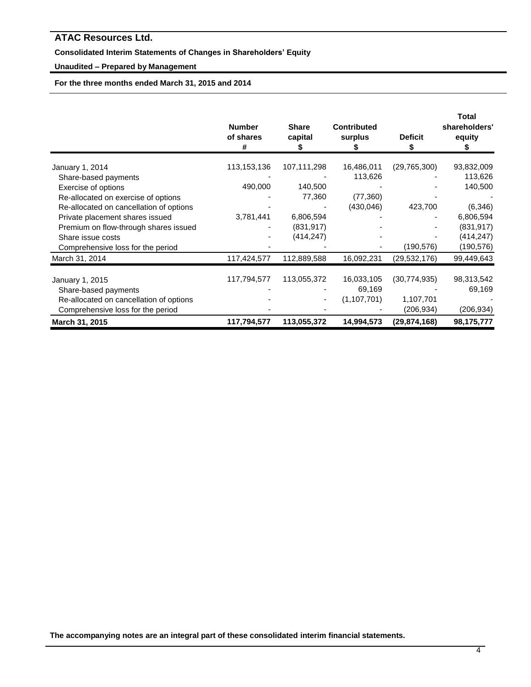# **Consolidated Interim Statements of Changes in Shareholders' Equity**

# **Unaudited – Prepared by Management**

**For the three months ended March 31, 2015 and 2014**

|                                         | <b>Number</b><br>of shares<br># | <b>Share</b><br>capital | <b>Contributed</b><br>surplus | <b>Deficit</b> | Total<br>shareholders'<br>equity |
|-----------------------------------------|---------------------------------|-------------------------|-------------------------------|----------------|----------------------------------|
| January 1, 2014                         | 113,153,136                     | 107,111,298             | 16,486,011                    | (29,765,300)   | 93,832,009                       |
| Share-based payments                    |                                 |                         | 113,626                       |                | 113,626                          |
| Exercise of options                     | 490,000                         | 140,500                 |                               |                | 140,500                          |
| Re-allocated on exercise of options     |                                 | 77,360                  | (77, 360)                     |                |                                  |
| Re-allocated on cancellation of options |                                 |                         | (430,046)                     | 423,700        | (6, 346)                         |
| Private placement shares issued         | 3,781,441                       | 6,806,594               |                               |                | 6,806,594                        |
| Premium on flow-through shares issued   |                                 | (831, 917)              |                               |                | (831, 917)                       |
| Share issue costs                       |                                 | (414, 247)              |                               |                | (414, 247)                       |
| Comprehensive loss for the period       |                                 |                         |                               | (190, 576)     | (190,576)                        |
| March 31, 2014                          | 117,424,577                     | 112,889,588             | 16,092,231                    | (29, 532, 176) | 99,449,643                       |
| January 1, 2015                         | 117,794,577                     | 113,055,372             | 16,033,105                    | (30, 774, 935) | 98,313,542                       |
| Share-based payments                    |                                 |                         | 69,169                        |                | 69,169                           |
| Re-allocated on cancellation of options |                                 |                         | (1, 107, 701)                 | 1,107,701      |                                  |
| Comprehensive loss for the period       |                                 |                         |                               | (206,934)      | (206, 934)                       |
| March 31, 2015                          | 117,794,577                     | 113,055,372             | 14,994,573                    | (29, 874, 168) | 98,175,777                       |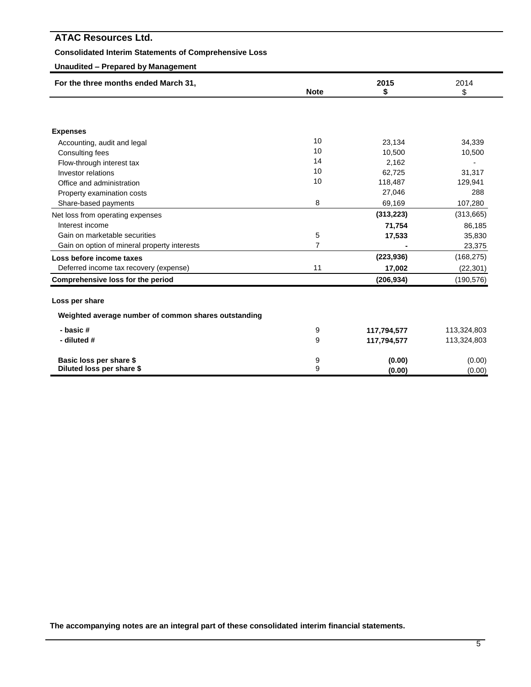| <b>ATAC Resources Ltd.</b>                                   |                |             |                |
|--------------------------------------------------------------|----------------|-------------|----------------|
| <b>Consolidated Interim Statements of Comprehensive Loss</b> |                |             |                |
| <b>Unaudited - Prepared by Management</b>                    |                |             |                |
| For the three months ended March 31,                         | <b>Note</b>    | 2015<br>\$  | 2014<br>\$     |
|                                                              |                |             |                |
| <b>Expenses</b>                                              |                |             |                |
| Accounting, audit and legal                                  | 10             | 23,134      | 34,339         |
| Consulting fees                                              | 10             | 10,500      | 10,500         |
| Flow-through interest tax                                    | 14             | 2,162       | $\overline{a}$ |
| Investor relations                                           | 10             | 62,725      | 31,317         |
| Office and administration                                    | 10             | 118,487     | 129,941        |
| Property examination costs                                   |                | 27,046      | 288            |
| Share-based payments                                         | 8              | 69,169      | 107,280        |
| Net loss from operating expenses                             |                | (313, 223)  | (313,665)      |
| Interest income                                              |                | 71,754      | 86,185         |
| Gain on marketable securities                                | 5              | 17,533      | 35,830         |
| Gain on option of mineral property interests                 | $\overline{7}$ |             | 23,375         |
| Loss before income taxes                                     |                | (223, 936)  | (168, 275)     |
| Deferred income tax recovery (expense)                       | 11             | 17,002      | (22, 301)      |
| Comprehensive loss for the period                            |                | (206, 934)  | (190, 576)     |
| Loss per share                                               |                |             |                |
| Weighted average number of common shares outstanding         |                |             |                |
| - basic#                                                     | 9              | 117,794,577 | 113,324,803    |
| - diluted #                                                  | 9              | 117,794,577 | 113,324,803    |
| Basic loss per share \$                                      | 9              | (0.00)      | (0.00)         |
| Diluted loss per share \$                                    | 9              | (0.00)      | (0.00)         |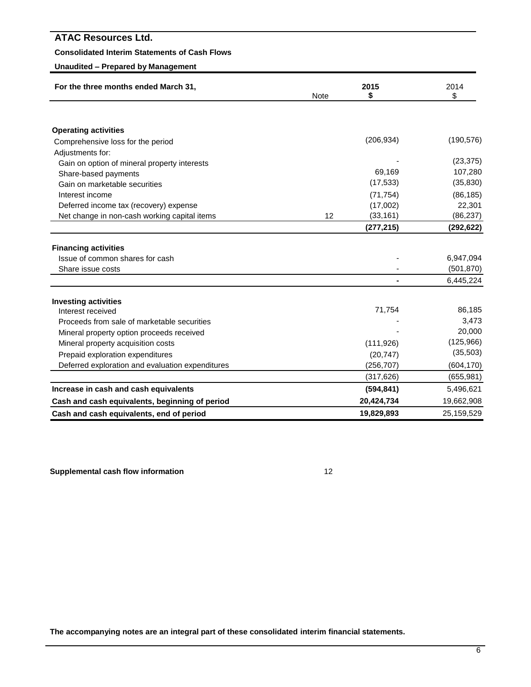# **Consolidated Interim Statements of Cash Flows**

# **Unaudited – Prepared by Management**

| For the three months ended March 31,             | Note | 2015<br>S  | 2014<br>\$ |  |
|--------------------------------------------------|------|------------|------------|--|
|                                                  |      |            |            |  |
| <b>Operating activities</b>                      |      |            |            |  |
| Comprehensive loss for the period                |      | (206, 934) | (190, 576) |  |
| Adjustments for:                                 |      |            |            |  |
| Gain on option of mineral property interests     |      |            | (23, 375)  |  |
| Share-based payments                             |      | 69,169     | 107,280    |  |
| Gain on marketable securities                    |      | (17, 533)  | (35, 830)  |  |
| Interest income                                  |      | (71, 754)  | (86, 185)  |  |
| Deferred income tax (recovery) expense           |      | (17,002)   | 22,301     |  |
| Net change in non-cash working capital items     | 12   | (33, 161)  | (86, 237)  |  |
|                                                  |      | (277, 215) | (292, 622) |  |
|                                                  |      |            |            |  |
| <b>Financing activities</b>                      |      |            |            |  |
| Issue of common shares for cash                  |      |            | 6,947,094  |  |
| Share issue costs                                |      |            | (501, 870) |  |
|                                                  |      |            | 6,445,224  |  |
| <b>Investing activities</b>                      |      |            |            |  |
| Interest received                                |      | 71,754     | 86,185     |  |
| Proceeds from sale of marketable securities      |      |            | 3,473      |  |
| Mineral property option proceeds received        |      |            | 20,000     |  |
| Mineral property acquisition costs               |      | (111, 926) | (125,966)  |  |
| Prepaid exploration expenditures                 |      | (20, 747)  | (35, 503)  |  |
| Deferred exploration and evaluation expenditures |      | (256, 707) | (604, 170) |  |
|                                                  |      | (317, 626) | (655, 981) |  |
| Increase in cash and cash equivalents            |      | (594, 841) | 5,496,621  |  |
| Cash and cash equivalents, beginning of period   |      | 20,424,734 | 19,662,908 |  |
| Cash and cash equivalents, end of period         |      | 19,829,893 | 25,159,529 |  |

**Supplemental cash flow information** 12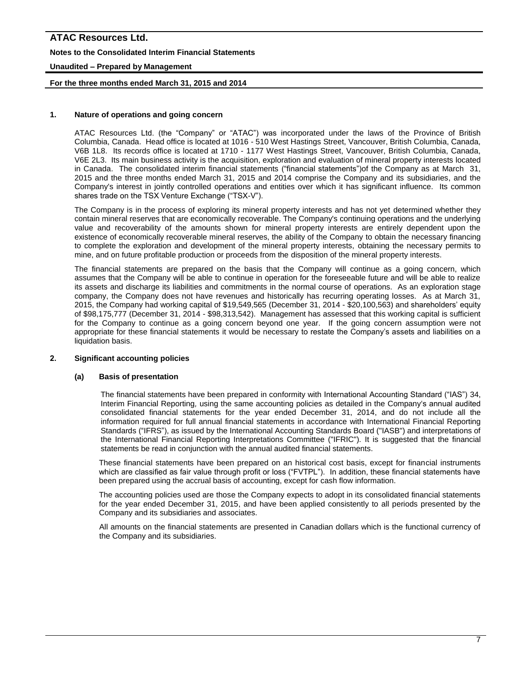# **ATAC Resources Ltd. Notes to the Consolidated Interim Financial Statements Unaudited – Prepared by Management**

# **For the three months ended March 31, 2015 and 2014**

# **1. Nature of operations and going concern**

ATAC Resources Ltd. (the "Company" or "ATAC") was incorporated under the laws of the Province of British Columbia, Canada. Head office is located at 1016 - 510 West Hastings Street, Vancouver, British Columbia, Canada, V6B 1L8. Its records office is located at 1710 - 1177 West Hastings Street, Vancouver, British Columbia, Canada, V6E 2L3. Its main business activity is the acquisition, exploration and evaluation of mineral property interests located in Canada. The consolidated interim financial statements ("financial statements")of the Company as at March 31, 2015 and the three months ended March 31, 2015 and 2014 comprise the Company and its subsidiaries, and the Company's interest in jointly controlled operations and entities over which it has significant influence. Its common shares trade on the TSX Venture Exchange ("TSX-V").

The Company is in the process of exploring its mineral property interests and has not yet determined whether they contain mineral reserves that are economically recoverable. The Company's continuing operations and the underlying value and recoverability of the amounts shown for mineral property interests are entirely dependent upon the existence of economically recoverable mineral reserves, the ability of the Company to obtain the necessary financing to complete the exploration and development of the mineral property interests, obtaining the necessary permits to mine, and on future profitable production or proceeds from the disposition of the mineral property interests.

The financial statements are prepared on the basis that the Company will continue as a going concern, which assumes that the Company will be able to continue in operation for the foreseeable future and will be able to realize its assets and discharge its liabilities and commitments in the normal course of operations. As an exploration stage company, the Company does not have revenues and historically has recurring operating losses. As at March 31, 2015, the Company had working capital of \$19,549,565 (December 31, 2014 - \$20,100,563) and shareholders' equity of \$98,175,777 (December 31, 2014 - \$98,313,542). Management has assessed that this working capital is sufficient for the Company to continue as a going concern beyond one year. If the going concern assumption were not appropriate for these financial statements it would be necessary to restate the Company's assets and liabilities on a liquidation basis.

### **2. Significant accounting policies**

#### **(a) Basis of presentation**

The financial statements have been prepared in conformity with International Accounting Standard ("IAS") 34, Interim Financial Reporting*,* using the same accounting policies as detailed in the Company's annual audited consolidated financial statements for the year ended December 31, 2014, and do not include all the information required for full annual financial statements in accordance with International Financial Reporting Standards ("IFRS"), as issued by the International Accounting Standards Board ("IASB") and interpretations of the International Financial Reporting Interpretations Committee ("IFRIC"). It is suggested that the financial statements be read in conjunction with the annual audited financial statements.

These financial statements have been prepared on an historical cost basis, except for financial instruments which are classified as fair value through profit or loss ("FVTPL"). In addition, these financial statements have been prepared using the accrual basis of accounting, except for cash flow information.

The accounting policies used are those the Company expects to adopt in its consolidated financial statements for the year ended December 31, 2015, and have been applied consistently to all periods presented by the Company and its subsidiaries and associates.

All amounts on the financial statements are presented in Canadian dollars which is the functional currency of the Company and its subsidiaries.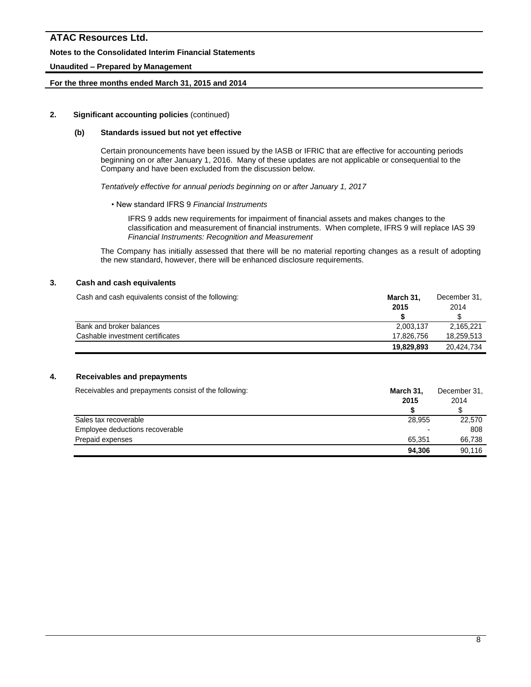#### **Notes to the Consolidated Interim Financial Statements**

#### **Unaudited – Prepared by Management**

#### **For the three months ended March 31, 2015 and 2014**

#### **2. Significant accounting policies** (continued)

#### **(b) Standards issued but not yet effective**

Certain pronouncements have been issued by the IASB or IFRIC that are effective for accounting periods beginning on or after January 1, 2016. Many of these updates are not applicable or consequential to the Company and have been excluded from the discussion below.

*Tentatively effective for annual periods beginning on or after January 1, 2017*

• New standard IFRS 9 *Financial Instruments*

IFRS 9 adds new requirements for impairment of financial assets and makes changes to the classification and measurement of financial instruments. When complete, IFRS 9 will replace IAS 39 *Financial Instruments: Recognition and Measurement*

The Company has initially assessed that there will be no material reporting changes as a result of adopting the new standard, however, there will be enhanced disclosure requirements.

# **3. Cash and cash equivalents**

| Cash and cash equivalents consist of the following: | March 31.  | December 31. |  |
|-----------------------------------------------------|------------|--------------|--|
|                                                     | 2015       | 2014         |  |
|                                                     |            |              |  |
| Bank and broker balances                            | 2.003.137  | 2.165.221    |  |
| Cashable investment certificates                    | 17.826.756 | 18.259.513   |  |
|                                                     | 19,829,893 | 20.424.734   |  |

# **4. Receivables and prepayments**

| Receivables and prepayments consist of the following: | March 31, | December 31, |  |
|-------------------------------------------------------|-----------|--------------|--|
|                                                       | 2015      | 2014         |  |
|                                                       |           |              |  |
| Sales tax recoverable                                 | 28.955    | 22,570       |  |
| Employee deductions recoverable                       | ۰         | 808          |  |
| Prepaid expenses                                      | 65.351    | 66.738       |  |
|                                                       | 94,306    | 90.116       |  |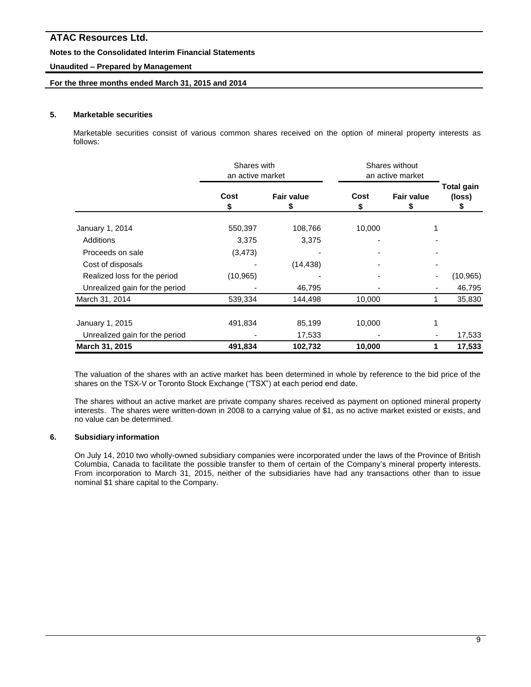# **Notes to the Consolidated Interim Financial Statements**

# **Unaudited – Prepared by Management**

### **For the three months ended March 31, 2015 and 2014**

#### **5. Marketable securities**

Marketable securities consist of various common shares received on the option of mineral property interests as follows:

|                                | Shares with<br>an active market |                   | Shares without<br>an active market |                        |                             |  |
|--------------------------------|---------------------------------|-------------------|------------------------------------|------------------------|-----------------------------|--|
|                                | Cost<br>\$                      | <b>Fair value</b> | Cost<br>\$                         | <b>Fair value</b><br>S | <b>Total gain</b><br>(loss) |  |
| January 1, 2014                | 550,397                         | 108,766           | 10,000                             |                        |                             |  |
| Additions                      | 3,375                           | 3,375             |                                    |                        |                             |  |
| Proceeds on sale               | (3, 473)                        |                   |                                    |                        |                             |  |
| Cost of disposals              |                                 | (14, 438)         |                                    |                        |                             |  |
| Realized loss for the period   | (10, 965)                       |                   |                                    |                        | (10, 965)                   |  |
| Unrealized gain for the period |                                 | 46,795            |                                    |                        | 46,795                      |  |
| March 31, 2014                 | 539,334                         | 144,498           | 10,000                             |                        | 35,830                      |  |
| January 1, 2015                | 491,834                         | 85,199            | 10,000                             |                        |                             |  |
| Unrealized gain for the period |                                 | 17,533            |                                    |                        | 17,533                      |  |
| March 31, 2015                 | 491,834                         | 102,732           | 10,000                             |                        | 17,533                      |  |

The valuation of the shares with an active market has been determined in whole by reference to the bid price of the shares on the TSX-V or Toronto Stock Exchange ("TSX") at each period end date.

The shares without an active market are private company shares received as payment on optioned mineral property interests. The shares were written-down in 2008 to a carrying value of \$1, as no active market existed or exists, and no value can be determined.

# **6. Subsidiary information**

On July 14, 2010 two wholly-owned subsidiary companies were incorporated under the laws of the Province of British Columbia, Canada to facilitate the possible transfer to them of certain of the Company's mineral property interests. From incorporation to March 31, 2015, neither of the subsidiaries have had any transactions other than to issue nominal \$1 share capital to the Company.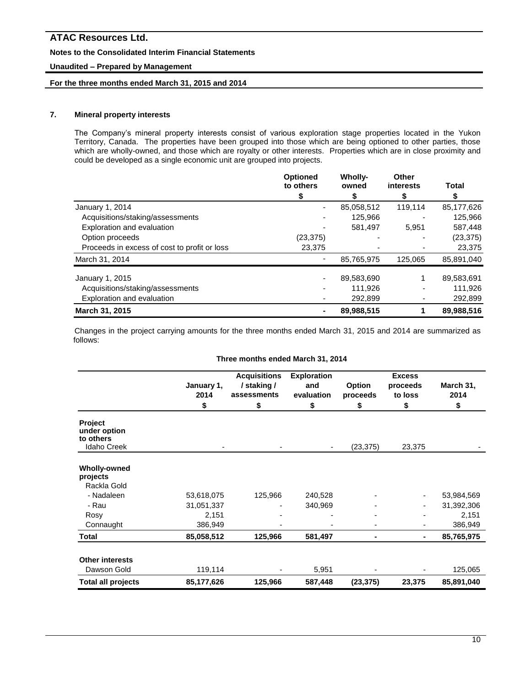# **Notes to the Consolidated Interim Financial Statements**

# **Unaudited – Prepared by Management**

# **For the three months ended March 31, 2015 and 2014**

# **7. Mineral property interests**

The Company's mineral property interests consist of various exploration stage properties located in the Yukon Territory, Canada. The properties have been grouped into those which are being optioned to other parties, those which are wholly-owned, and those which are royalty or other interests. Properties which are in close proximity and could be developed as a single economic unit are grouped into projects.

|                                              | <b>Optioned</b><br>to others | <b>Wholly-</b><br>owned | Other<br>interests | Total      |
|----------------------------------------------|------------------------------|-------------------------|--------------------|------------|
|                                              | S                            |                         | S                  | S          |
| January 1, 2014                              |                              | 85,058,512              | 119,114            | 85,177,626 |
| Acquisitions/staking/assessments             |                              | 125,966                 |                    | 125,966    |
| Exploration and evaluation                   |                              | 581,497                 | 5.951              | 587,448    |
| Option proceeds                              | (23, 375)                    |                         |                    | (23, 375)  |
| Proceeds in excess of cost to profit or loss | 23,375                       |                         |                    | 23,375     |
| March 31, 2014                               |                              | 85,765,975              | 125.065            | 85.891.040 |
| January 1, 2015                              |                              | 89,583,690              |                    | 89,583,691 |
| Acquisitions/staking/assessments             |                              | 111,926                 |                    | 111,926    |
| Exploration and evaluation                   |                              | 292.899                 |                    | 292,899    |
| March 31, 2015                               |                              | 89,988,515              |                    | 89,988,516 |

Changes in the project carrying amounts for the three months ended March 31, 2015 and 2014 are summarized as follows:

#### **Three months ended March 31, 2014**

|                                             | January 1,<br>2014 | <b>Acquisitions</b><br>/ staking /<br>assessments | <b>Exploration</b><br>and<br>evaluation | <b>Option</b><br>proceeds | <b>Excess</b><br>proceeds<br>to loss | March 31,<br>2014 |
|---------------------------------------------|--------------------|---------------------------------------------------|-----------------------------------------|---------------------------|--------------------------------------|-------------------|
|                                             | \$                 | \$                                                | \$                                      | \$                        | \$                                   | \$                |
| <b>Project</b><br>under option<br>to others |                    |                                                   |                                         |                           |                                      |                   |
| <b>Idaho Creek</b>                          |                    | ۰                                                 | $\overline{\phantom{a}}$                | (23, 375)                 | 23,375                               |                   |
| <b>Wholly-owned</b><br>projects             |                    |                                                   |                                         |                           |                                      |                   |
| Rackla Gold                                 |                    |                                                   |                                         |                           |                                      |                   |
| - Nadaleen                                  | 53,618,075         | 125,966                                           | 240,528                                 |                           | ۰                                    | 53,984,569        |
| - Rau                                       | 31,051,337         |                                                   | 340,969                                 |                           |                                      | 31,392,306        |
| Rosy                                        | 2,151              |                                                   |                                         |                           |                                      | 2,151             |
| Connaught                                   | 386,949            |                                                   |                                         |                           |                                      | 386,949           |
| Total                                       | 85,058,512         | 125,966                                           | 581,497                                 | $\blacksquare$            | ۰                                    | 85,765,975        |
| <b>Other interests</b>                      |                    |                                                   |                                         |                           |                                      |                   |
| Dawson Gold                                 | 119,114            |                                                   | 5,951                                   |                           |                                      | 125,065           |
| <b>Total all projects</b>                   | 85,177,626         | 125,966                                           | 587,448                                 | (23, 375)                 | 23,375                               | 85,891,040        |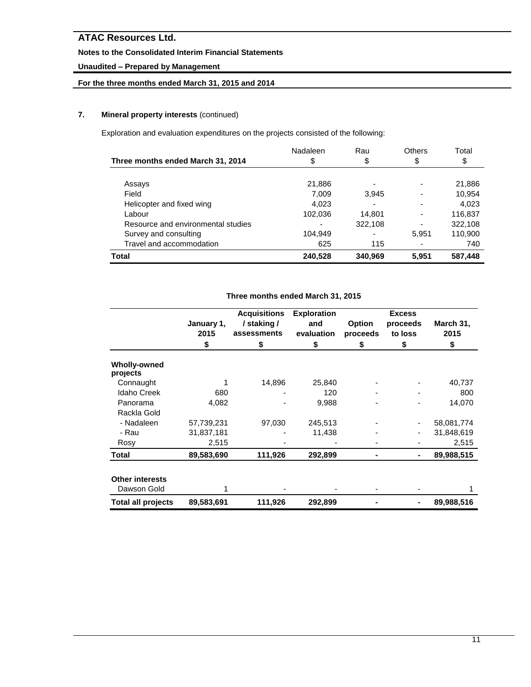# **Notes to the Consolidated Interim Financial Statements**

# **Unaudited – Prepared by Management**

# **For the three months ended March 31, 2015 and 2014**

# **7. Mineral property interests** (continued)

Exploration and evaluation expenditures on the projects consisted of the following:

| Three months ended March 31, 2014  | Nadaleen<br>\$ | Rau<br>\$ | <b>Others</b><br>\$      | Total<br>\$ |
|------------------------------------|----------------|-----------|--------------------------|-------------|
|                                    |                |           |                          |             |
| Assays                             | 21,886         |           | $\overline{\phantom{0}}$ | 21,886      |
| Field                              | 7,009          | 3,945     |                          | 10,954      |
| Helicopter and fixed wing          | 4.023          |           |                          | 4.023       |
| Labour                             | 102,036        | 14,801    | ٠                        | 116,837     |
| Resource and environmental studies |                | 322,108   | ٠                        | 322,108     |
| Survey and consulting              | 104.949        |           | 5,951                    | 110,900     |
| Travel and accommodation           | 625            | 115       | ٠                        | 740         |
| Total                              | 240,528        | 340,969   | 5.951                    | 587,448     |

# **Three months ended March 31, 2015**

|                                       | January 1, | <b>Acquisitions</b><br>/ staking / | <b>Exploration</b><br>and | <b>Option</b> | <b>Excess</b><br>proceeds | March 31,  |
|---------------------------------------|------------|------------------------------------|---------------------------|---------------|---------------------------|------------|
|                                       | 2015       | assessments                        | evaluation                | proceeds      | to loss                   | 2015       |
|                                       | \$         | \$                                 | \$                        | \$            | \$                        | \$         |
| <b>Wholly-owned</b><br>projects       |            |                                    |                           |               |                           |            |
| Connaught                             |            | 14,896                             | 25,840                    |               |                           | 40,737     |
| <b>Idaho Creek</b>                    | 680        |                                    | 120                       |               |                           | 800        |
| Panorama                              | 4,082      |                                    | 9,988                     |               |                           | 14,070     |
| Rackla Gold                           |            |                                    |                           |               |                           |            |
| - Nadaleen                            | 57,739,231 | 97,030                             | 245,513                   |               |                           | 58,081,774 |
| - Rau                                 | 31,837,181 |                                    | 11,438                    |               |                           | 31,848,619 |
| Rosy                                  | 2,515      |                                    |                           |               |                           | 2,515      |
| Total                                 | 89,583,690 | 111,926                            | 292,899                   |               |                           | 89,988,515 |
| <b>Other interests</b><br>Dawson Gold |            |                                    |                           |               |                           |            |
| <b>Total all projects</b>             | 89,583,691 | 111,926                            | 292,899                   |               |                           | 89,988,516 |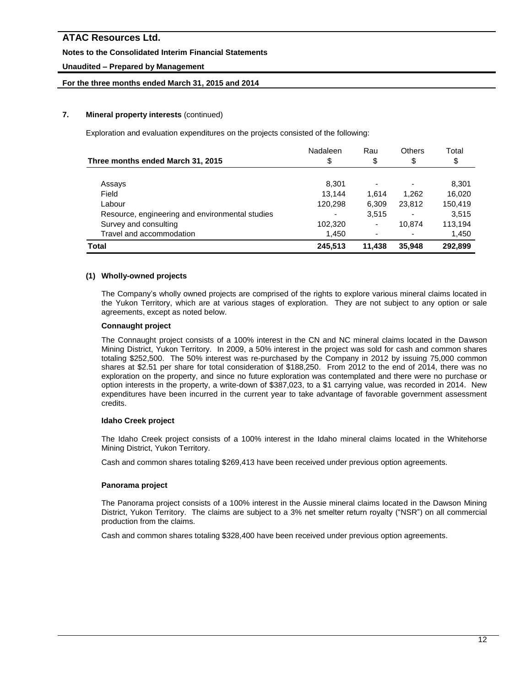# **Notes to the Consolidated Interim Financial Statements**

# **Unaudited – Prepared by Management**

# **For the three months ended March 31, 2015 and 2014**

# **7. Mineral property interests** (continued)

Exploration and evaluation expenditures on the projects consisted of the following:

|                                                 | Nadaleen | Rau    | Others | Total   |
|-------------------------------------------------|----------|--------|--------|---------|
| Three months ended March 31, 2015               | \$       | \$     | \$     | \$      |
|                                                 |          |        |        |         |
| Assays                                          | 8,301    |        |        | 8,301   |
| Field                                           | 13.144   | 1.614  | 1.262  | 16,020  |
| Labour                                          | 120,298  | 6,309  | 23,812 | 150,419 |
| Resource, engineering and environmental studies |          | 3,515  |        | 3.515   |
| Survey and consulting                           | 102,320  | ٠      | 10.874 | 113.194 |
| Travel and accommodation                        | 1,450    |        |        | 1,450   |
| Total                                           | 245,513  | 11,438 | 35,948 | 292.899 |

### **(1) Wholly-owned projects**

The Company's wholly owned projects are comprised of the rights to explore various mineral claims located in the Yukon Territory, which are at various stages of exploration. They are not subject to any option or sale agreements, except as noted below.

#### **Connaught project**

The Connaught project consists of a 100% interest in the CN and NC mineral claims located in the Dawson Mining District, Yukon Territory. In 2009, a 50% interest in the project was sold for cash and common shares totaling \$252,500. The 50% interest was re-purchased by the Company in 2012 by issuing 75,000 common shares at \$2.51 per share for total consideration of \$188,250. From 2012 to the end of 2014, there was no exploration on the property, and since no future exploration was contemplated and there were no purchase or option interests in the property, a write-down of \$387,023, to a \$1 carrying value, was recorded in 2014. New expenditures have been incurred in the current year to take advantage of favorable government assessment credits.

#### **Idaho Creek project**

The Idaho Creek project consists of a 100% interest in the Idaho mineral claims located in the Whitehorse Mining District, Yukon Territory.

Cash and common shares totaling \$269,413 have been received under previous option agreements.

#### **Panorama project**

The Panorama project consists of a 100% interest in the Aussie mineral claims located in the Dawson Mining District, Yukon Territory. The claims are subject to a 3% net smelter return royalty ("NSR") on all commercial production from the claims.

Cash and common shares totaling \$328,400 have been received under previous option agreements.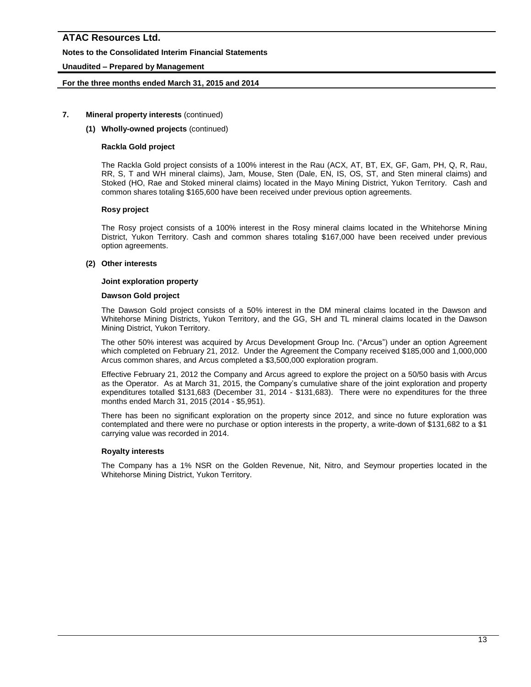# **Notes to the Consolidated Interim Financial Statements**

# **Unaudited – Prepared by Management**

### **For the three months ended March 31, 2015 and 2014**

#### **7. Mineral property interests** (continued)

#### **(1) Wholly-owned projects** (continued)

#### **Rackla Gold project**

The Rackla Gold project consists of a 100% interest in the Rau (ACX, AT, BT, EX, GF, Gam, PH, Q, R, Rau, RR, S, T and WH mineral claims), Jam, Mouse, Sten (Dale, EN, IS, OS, ST, and Sten mineral claims) and Stoked (HO, Rae and Stoked mineral claims) located in the Mayo Mining District, Yukon Territory. Cash and common shares totaling \$165,600 have been received under previous option agreements.

#### **Rosy project**

The Rosy project consists of a 100% interest in the Rosy mineral claims located in the Whitehorse Mining District, Yukon Territory. Cash and common shares totaling \$167,000 have been received under previous option agreements.

### **(2) Other interests**

#### **Joint exploration property**

#### **Dawson Gold project**

The Dawson Gold project consists of a 50% interest in the DM mineral claims located in the Dawson and Whitehorse Mining Districts, Yukon Territory, and the GG, SH and TL mineral claims located in the Dawson Mining District, Yukon Territory.

The other 50% interest was acquired by Arcus Development Group Inc. ("Arcus") under an option Agreement which completed on February 21, 2012. Under the Agreement the Company received \$185,000 and 1,000,000 Arcus common shares, and Arcus completed a \$3,500,000 exploration program.

Effective February 21, 2012 the Company and Arcus agreed to explore the project on a 50/50 basis with Arcus as the Operator. As at March 31, 2015, the Company's cumulative share of the joint exploration and property expenditures totalled \$131,683 (December 31, 2014 - \$131,683). There were no expenditures for the three months ended March 31, 2015 (2014 - \$5,951).

There has been no significant exploration on the property since 2012, and since no future exploration was contemplated and there were no purchase or option interests in the property, a write-down of \$131,682 to a \$1 carrying value was recorded in 2014.

#### **Royalty interests**

The Company has a 1% NSR on the Golden Revenue, Nit, Nitro, and Seymour properties located in the Whitehorse Mining District, Yukon Territory.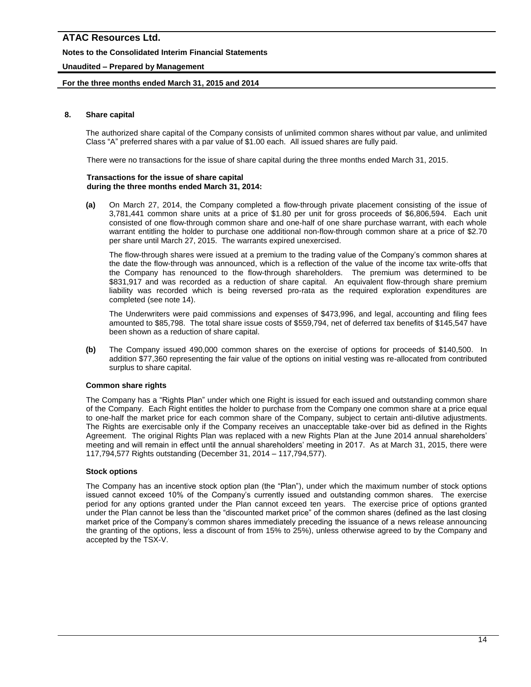# **Notes to the Consolidated Interim Financial Statements**

# **Unaudited – Prepared by Management**

### **For the three months ended March 31, 2015 and 2014**

#### **8. Share capital**

The authorized share capital of the Company consists of unlimited common shares without par value, and unlimited Class "A" preferred shares with a par value of \$1.00 each. All issued shares are fully paid.

There were no transactions for the issue of share capital during the three months ended March 31, 2015.

#### **Transactions for the issue of share capital during the three months ended March 31, 2014:**

**(a)** On March 27, 2014, the Company completed a flow-through private placement consisting of the issue of 3,781,441 common share units at a price of \$1.80 per unit for gross proceeds of \$6,806,594. Each unit consisted of one flow-through common share and one-half of one share purchase warrant, with each whole warrant entitling the holder to purchase one additional non-flow-through common share at a price of \$2.70 per share until March 27, 2015. The warrants expired unexercised.

The flow-through shares were issued at a premium to the trading value of the Company's common shares at the date the flow-through was announced, which is a reflection of the value of the income tax write-offs that the Company has renounced to the flow-through shareholders. The premium was determined to be \$831,917 and was recorded as a reduction of share capital. An equivalent flow-through share premium liability was recorded which is being reversed pro-rata as the required exploration expenditures are completed (see note 14).

The Underwriters were paid commissions and expenses of \$473,996, and legal, accounting and filing fees amounted to \$85,798. The total share issue costs of \$559,794, net of deferred tax benefits of \$145,547 have been shown as a reduction of share capital.

**(b)** The Company issued 490,000 common shares on the exercise of options for proceeds of \$140,500. In addition \$77,360 representing the fair value of the options on initial vesting was re-allocated from contributed surplus to share capital.

#### **Common share rights**

The Company has a "Rights Plan" under which one Right is issued for each issued and outstanding common share of the Company. Each Right entitles the holder to purchase from the Company one common share at a price equal to one-half the market price for each common share of the Company, subject to certain anti-dilutive adjustments. The Rights are exercisable only if the Company receives an unacceptable take-over bid as defined in the Rights Agreement. The original Rights Plan was replaced with a new Rights Plan at the June 2014 annual shareholders' meeting and will remain in effect until the annual shareholders' meeting in 2017. As at March 31, 2015, there were 117,794,577 Rights outstanding (December 31, 2014 – 117,794,577).

#### **Stock options**

The Company has an incentive stock option plan (the "Plan"), under which the maximum number of stock options issued cannot exceed 10% of the Company's currently issued and outstanding common shares. The exercise period for any options granted under the Plan cannot exceed ten years. The exercise price of options granted under the Plan cannot be less than the "discounted market price" of the common shares (defined as the last closing market price of the Company's common shares immediately preceding the issuance of a news release announcing the granting of the options, less a discount of from 15% to 25%), unless otherwise agreed to by the Company and accepted by the TSX-V.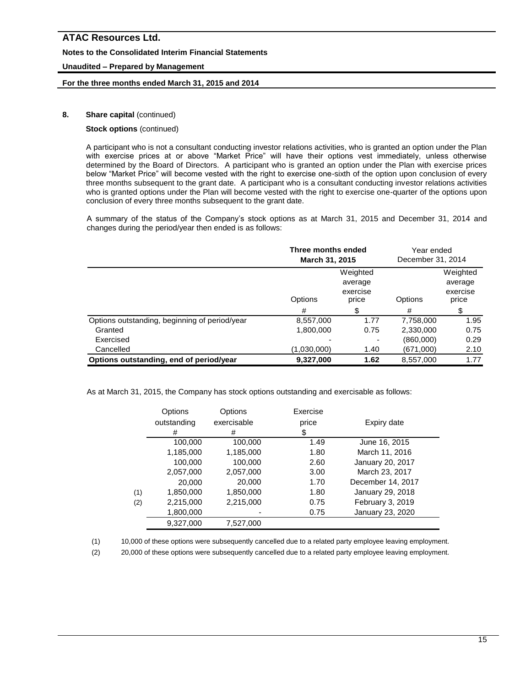### **Notes to the Consolidated Interim Financial Statements**

# **Unaudited – Prepared by Management**

### **For the three months ended March 31, 2015 and 2014**

# **8.** Share capital (continued)

# **Stock options** (continued)

A participant who is not a consultant conducting investor relations activities, who is granted an option under the Plan with exercise prices at or above "Market Price" will have their options vest immediately, unless otherwise determined by the Board of Directors. A participant who is granted an option under the Plan with exercise prices below "Market Price" will become vested with the right to exercise one-sixth of the option upon conclusion of every three months subsequent to the grant date. A participant who is a consultant conducting investor relations activities who is granted options under the Plan will become vested with the right to exercise one-quarter of the options upon conclusion of every three months subsequent to the grant date.

A summary of the status of the Company's stock options as at March 31, 2015 and December 31, 2014 and changes during the period/year then ended is as follows:

|                                               | Three months ended<br>March 31, 2015 |                                          | Year ended<br>December 31, 2014 |                                          |
|-----------------------------------------------|--------------------------------------|------------------------------------------|---------------------------------|------------------------------------------|
|                                               | Options                              | Weighted<br>average<br>exercise<br>price | Options                         | Weighted<br>average<br>exercise<br>price |
|                                               | #                                    | \$                                       | #                               | \$                                       |
| Options outstanding, beginning of period/year | 8,557,000                            | 1.77                                     | 7,758,000                       | 1.95                                     |
| Granted                                       | 1,800,000                            | 0.75                                     | 2,330,000                       | 0.75                                     |
| Exercised                                     |                                      |                                          | (860,000)                       | 0.29                                     |
| Cancelled                                     | (1,030,000)                          | 1.40                                     | (671,000)                       | 2.10                                     |
| Options outstanding, end of period/year       | 9,327,000                            | 1.62                                     | 8,557,000                       | 1.77                                     |

As at March 31, 2015, the Company has stock options outstanding and exercisable as follows:

|     | Options<br>outstanding | Options<br>exercisable | Exercise<br>price | Expiry date       |
|-----|------------------------|------------------------|-------------------|-------------------|
|     | #                      | #                      | \$                |                   |
|     | 100,000                | 100,000                | 1.49              | June 16, 2015     |
|     | 1,185,000              | 1,185,000              | 1.80              | March 11, 2016    |
|     | 100,000                | 100,000                | 2.60              | January 20, 2017  |
|     | 2,057,000              | 2,057,000              | 3.00              | March 23, 2017    |
|     | 20,000                 | 20,000                 | 1.70              | December 14, 2017 |
| (1) | 1,850,000              | 1,850,000              | 1.80              | January 29, 2018  |
| (2) | 2,215,000              | 2,215,000              | 0.75              | February 3, 2019  |
|     | 1,800,000              |                        | 0.75              | January 23, 2020  |
|     | 9,327,000              | 7.527.000              |                   |                   |

(1) 10,000 of these options were subsequently cancelled due to a related party employee leaving employment.

(2) 20,000 of these options were subsequently cancelled due to a related party employee leaving employment.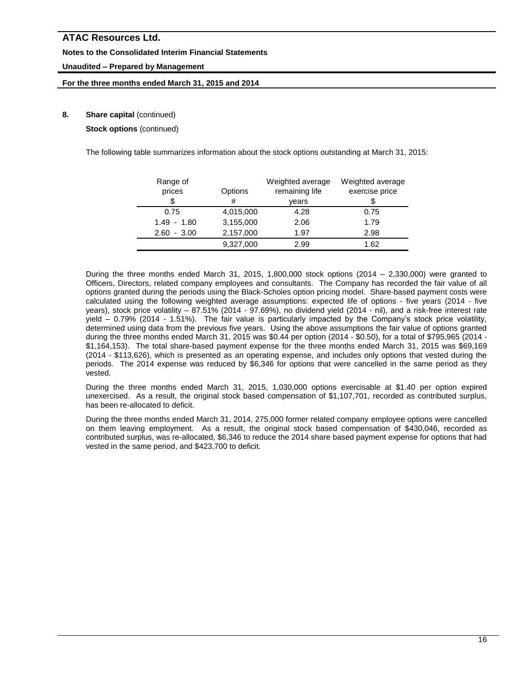### **Notes to the Consolidated Interim Financial Statements**

# **Unaudited – Prepared by Management**

### **For the three months ended March 31, 2015 and 2014**

# **8.** Share capital (continued)

**Stock options** (continued)

The following table summarizes information about the stock options outstanding at March 31, 2015:

| Range of        |           | Weighted average | Weighted average |
|-----------------|-----------|------------------|------------------|
| prices          | Options   | remaining life   | exercise price   |
| \$              | #         | vears            |                  |
| 0.75            | 4,015,000 | 4.28             | 0.75             |
| $1.49 - 1.80$   | 3,155,000 | 2.06             | 1.79             |
| $-3.00$<br>2.60 | 2,157,000 | 1.97             | 2.98             |
|                 | 9,327,000 | 2.99             | 1.62             |

During the three months ended March 31, 2015, 1,800,000 stock options (2014 – 2,330,000) were granted to Officers, Directors, related company employees and consultants. The Company has recorded the fair value of all options granted during the periods using the Black-Scholes option pricing model. Share-based payment costs were calculated using the following weighted average assumptions: expected life of options - five years (2014 - five years), stock price volatility – 87.51% (2014 - 97.69%), no dividend yield (2014 - nil), and a risk-free interest rate yield – 0.79% (2014 - 1.51%). The fair value is particularly impacted by the Company's stock price volatility, determined using data from the previous five years. Using the above assumptions the fair value of options granted during the three months ended March 31, 2015 was \$0.44 per option (2014 - \$0.50), for a total of \$795,965 (2014 - \$1,164,153). The total share-based payment expense for the three months ended March 31, 2015 was \$69,169 (2014 - \$113,626), which is presented as an operating expense, and includes only options that vested during the periods. The 2014 expense was reduced by \$6,346 for options that were cancelled in the same period as they vested.

During the three months ended March 31, 2015, 1,030,000 options exercisable at \$1.40 per option expired unexercised. As a result, the original stock based compensation of \$1,107,701, recorded as contributed surplus, has been re-allocated to deficit.

During the three months ended March 31, 2014, 275,000 former related company employee options were cancelled on them leaving employment. As a result, the original stock based compensation of \$430,046, recorded as contributed surplus, was re-allocated, \$6,346 to reduce the 2014 share based payment expense for options that had vested in the same period, and \$423,700 to deficit.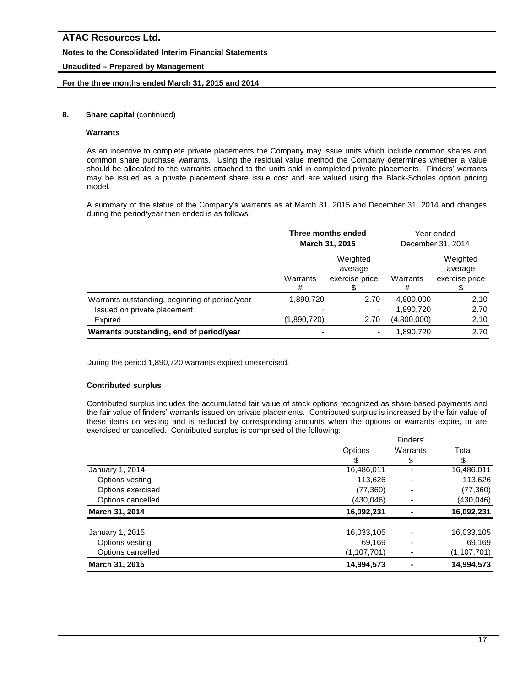# **Notes to the Consolidated Interim Financial Statements**

# **Unaudited – Prepared by Management**

### **For the three months ended March 31, 2015 and 2014**

### **8.** Share capital (continued)

#### **Warrants**

As an incentive to complete private placements the Company may issue units which include common shares and common share purchase warrants. Using the residual value method the Company determines whether a value should be allocated to the warrants attached to the units sold in completed private placements. Finders' warrants may be issued as a private placement share issue cost and are valued using the Black-Scholes option pricing model.

A summary of the status of the Company's warrants as at March 31, 2015 and December 31, 2014 and changes during the period/year then ended is as follows:

|                                                | Three months ended<br>March 31, 2015 |                                       | Year ended<br>December 31, 2014 |                                       |
|------------------------------------------------|--------------------------------------|---------------------------------------|---------------------------------|---------------------------------------|
|                                                | Warrants<br>#                        | Weighted<br>average<br>exercise price | Warrants<br>#                   | Weighted<br>average<br>exercise price |
| Warrants outstanding, beginning of period/year | 1,890,720                            | 2.70                                  | 4,800,000                       | 2.10                                  |
| Issued on private placement                    |                                      | ٠                                     | 1,890,720                       | 2.70                                  |
| Expired                                        | (1,890,720)                          | 2.70                                  | (4,800,000)                     | 2.10                                  |
| Warrants outstanding, end of period/year       |                                      | $\blacksquare$                        | 1,890,720                       | 2.70                                  |

During the period 1,890,720 warrants expired unexercised.

# **Contributed surplus**

Contributed surplus includes the accumulated fair value of stock options recognized as share-based payments and the fair value of finders' warrants issued on private placements. Contributed surplus is increased by the fair value of these items on vesting and is reduced by corresponding amounts when the options or warrants expire, or are exercised or cancelled. Contributed surplus is comprised of the following: Finders'

|                   | Finders <sup>-</sup> |          |               |
|-------------------|----------------------|----------|---------------|
|                   | Options              | Warrants | Total         |
|                   |                      | \$       |               |
| January 1, 2014   | 16,486,011           |          | 16,486,011    |
| Options vesting   | 113,626              |          | 113,626       |
| Options exercised | (77, 360)            |          | (77, 360)     |
| Options cancelled | (430, 046)           |          | (430, 046)    |
| March 31, 2014    | 16,092,231           |          | 16,092,231    |
| January 1, 2015   | 16,033,105           |          | 16,033,105    |
| Options vesting   | 69,169               |          | 69,169        |
| Options cancelled | (1, 107, 701)        |          | (1, 107, 701) |
| March 31, 2015    | 14,994,573           |          | 14,994,573    |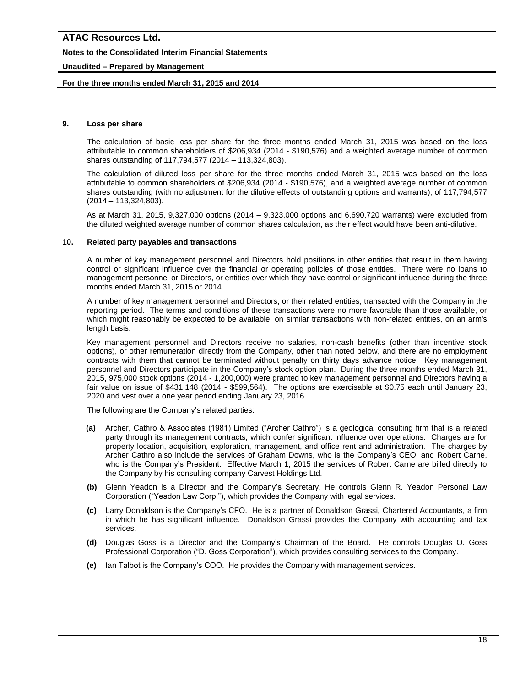### **Notes to the Consolidated Interim Financial Statements**

# **Unaudited – Prepared by Management**

### **For the three months ended March 31, 2015 and 2014**

#### **9. Loss per share**

The calculation of basic loss per share for the three months ended March 31, 2015 was based on the loss attributable to common shareholders of \$206,934 (2014 - \$190,576) and a weighted average number of common shares outstanding of 117,794,577 (2014 – 113,324,803).

The calculation of diluted loss per share for the three months ended March 31, 2015 was based on the loss attributable to common shareholders of \$206,934 (2014 - \$190,576), and a weighted average number of common shares outstanding (with no adjustment for the dilutive effects of outstanding options and warrants), of 117,794,577 (2014 – 113,324,803).

As at March 31, 2015, 9,327,000 options (2014 – 9,323,000 options and 6,690,720 warrants) were excluded from the diluted weighted average number of common shares calculation, as their effect would have been anti-dilutive.

#### **10. Related party payables and transactions**

A number of key management personnel and Directors hold positions in other entities that result in them having control or significant influence over the financial or operating policies of those entities. There were no loans to management personnel or Directors, or entities over which they have control or significant influence during the three months ended March 31, 2015 or 2014.

A number of key management personnel and Directors, or their related entities, transacted with the Company in the reporting period. The terms and conditions of these transactions were no more favorable than those available, or which might reasonably be expected to be available, on similar transactions with non-related entities, on an arm's length basis.

Key management personnel and Directors receive no salaries, non-cash benefits (other than incentive stock options), or other remuneration directly from the Company, other than noted below, and there are no employment contracts with them that cannot be terminated without penalty on thirty days advance notice. Key management personnel and Directors participate in the Company's stock option plan. During the three months ended March 31, 2015, 975,000 stock options (2014 - 1,200,000) were granted to key management personnel and Directors having a fair value on issue of \$431,148 (2014 - \$599,564). The options are exercisable at \$0.75 each until January 23, 2020 and vest over a one year period ending January 23, 2016.

The following are the Company's related parties:

- **(a)** Archer, Cathro & Associates (1981) Limited ("Archer Cathro") is a geological consulting firm that is a related party through its management contracts, which confer significant influence over operations. Charges are for property location, acquisition, exploration, management, and office rent and administration. The charges by Archer Cathro also include the services of Graham Downs, who is the Company's CEO, and Robert Carne, who is the Company's President. Effective March 1, 2015 the services of Robert Carne are billed directly to the Company by his consulting company Carvest Holdings Ltd.
- **(b)** Glenn Yeadon is a Director and the Company's Secretary. He controls Glenn R. Yeadon Personal Law Corporation ("Yeadon Law Corp."), which provides the Company with legal services.
- **(c)** Larry Donaldson is the Company's CFO. He is a partner of Donaldson Grassi, Chartered Accountants, a firm in which he has significant influence. Donaldson Grassi provides the Company with accounting and tax services.
- **(d)** Douglas Goss is a Director and the Company's Chairman of the Board. He controls Douglas O. Goss Professional Corporation ("D. Goss Corporation"), which provides consulting services to the Company.
- **(e)** Ian Talbot is the Company's COO. He provides the Company with management services.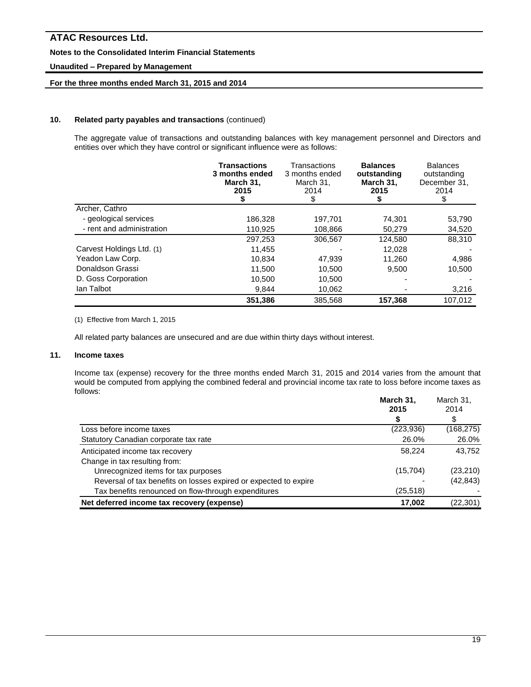# **Notes to the Consolidated Interim Financial Statements**

# **Unaudited – Prepared by Management**

# **For the three months ended March 31, 2015 and 2014**

#### **10. Related party payables and transactions** (continued)

The aggregate value of transactions and outstanding balances with key management personnel and Directors and entities over which they have control or significant influence were as follows:

|                           | <b>Transactions</b><br>3 months ended<br>March 31,<br>2015 | Transactions<br>3 months ended<br>March 31,<br>2014<br>\$ | <b>Balances</b><br>outstanding<br>March 31,<br>2015<br>\$ | <b>Balances</b><br>outstanding<br>December 31,<br>2014<br>\$ |
|---------------------------|------------------------------------------------------------|-----------------------------------------------------------|-----------------------------------------------------------|--------------------------------------------------------------|
| Archer, Cathro            |                                                            |                                                           |                                                           |                                                              |
| - geological services     | 186,328                                                    | 197,701                                                   | 74,301                                                    | 53,790                                                       |
| - rent and administration | 110,925                                                    | 108,866                                                   | 50,279                                                    | 34,520                                                       |
|                           | 297,253                                                    | 306.567                                                   | 124,580                                                   | 88.310                                                       |
| Carvest Holdings Ltd. (1) | 11,455                                                     |                                                           | 12,028                                                    |                                                              |
| Yeadon Law Corp.          | 10.834                                                     | 47,939                                                    | 11.260                                                    | 4,986                                                        |
| Donaldson Grassi          | 11.500                                                     | 10.500                                                    | 9.500                                                     | 10.500                                                       |
| D. Goss Corporation       | 10.500                                                     | 10.500                                                    |                                                           |                                                              |
| lan Talbot                | 9,844                                                      | 10,062                                                    |                                                           | 3,216                                                        |
|                           | 351,386                                                    | 385,568                                                   | 157,368                                                   | 107.012                                                      |

(1) Effective from March 1, 2015

All related party balances are unsecured and are due within thirty days without interest.

#### **11. Income taxes**

Income tax (expense) recovery for the three months ended March 31, 2015 and 2014 varies from the amount that would be computed from applying the combined federal and provincial income tax rate to loss before income taxes as follows:

|                                                                  | March 31,  | March 31,  |
|------------------------------------------------------------------|------------|------------|
|                                                                  | 2015       | 2014       |
|                                                                  |            | \$         |
| Loss before income taxes                                         | (223, 936) | (168, 275) |
| Statutory Canadian corporate tax rate                            | 26.0%      | 26.0%      |
| Anticipated income tax recovery                                  | 58.224     | 43.752     |
| Change in tax resulting from:                                    |            |            |
| Unrecognized items for tax purposes                              | (15,704)   | (23, 210)  |
| Reversal of tax benefits on losses expired or expected to expire |            | (42, 843)  |
| Tax benefits renounced on flow-through expenditures              | (25, 518)  |            |
| Net deferred income tax recovery (expense)                       | 17.002     | (22, 301)  |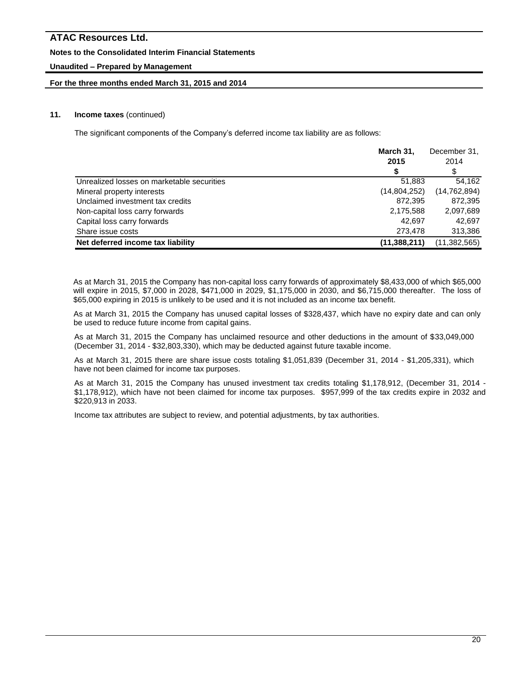### **Notes to the Consolidated Interim Financial Statements**

# **Unaudited – Prepared by Management**

### **For the three months ended March 31, 2015 and 2014**

### **11. Income taxes** (continued)

The significant components of the Company's deferred income tax liability are as follows:

|                                            | March 31,      |                |
|--------------------------------------------|----------------|----------------|
|                                            | 2015           | 2014           |
|                                            |                | \$             |
| Unrealized losses on marketable securities | 51,883         | 54.162         |
| Mineral property interests                 | (14,804,252)   | (14, 762, 894) |
| Unclaimed investment tax credits           | 872.395        | 872,395        |
| Non-capital loss carry forwards            | 2,175,588      | 2,097,689      |
| Capital loss carry forwards                | 42.697         | 42.697         |
| Share issue costs                          | 273,478        | 313,386        |
| Net deferred income tax liability          | (11, 388, 211) | (11,382,565)   |

As at March 31, 2015 the Company has non-capital loss carry forwards of approximately \$8,433,000 of which \$65,000 will expire in 2015, \$7,000 in 2028, \$471,000 in 2029, \$1,175,000 in 2030, and \$6,715,000 thereafter. The loss of \$65,000 expiring in 2015 is unlikely to be used and it is not included as an income tax benefit.

As at March 31, 2015 the Company has unused capital losses of \$328,437, which have no expiry date and can only be used to reduce future income from capital gains.

As at March 31, 2015 the Company has unclaimed resource and other deductions in the amount of \$33,049,000 (December 31, 2014 - \$32,803,330), which may be deducted against future taxable income.

As at March 31, 2015 there are share issue costs totaling \$1,051,839 (December 31, 2014 - \$1,205,331), which have not been claimed for income tax purposes.

As at March 31, 2015 the Company has unused investment tax credits totaling \$1,178,912, (December 31, 2014 - \$1,178,912), which have not been claimed for income tax purposes. \$957,999 of the tax credits expire in 2032 and \$220,913 in 2033.

Income tax attributes are subject to review, and potential adjustments, by tax authorities.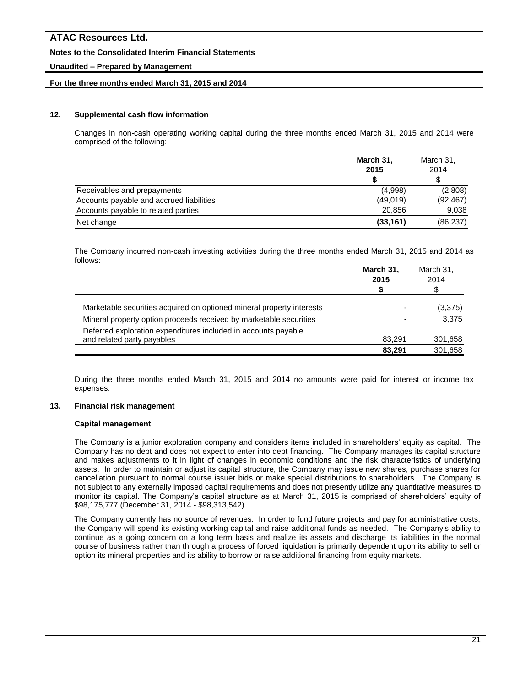### **Notes to the Consolidated Interim Financial Statements**

### **Unaudited – Prepared by Management**

#### **For the three months ended March 31, 2015 and 2014**

### **12. Supplemental cash flow information**

Changes in non-cash operating working capital during the three months ended March 31, 2015 and 2014 were comprised of the following:

|                                          | March 31,<br>2015 | March 31,<br>2014 |  |
|------------------------------------------|-------------------|-------------------|--|
|                                          |                   | \$                |  |
| Receivables and prepayments              | (4,998)           | (2,808)           |  |
| Accounts payable and accrued liabilities | (49,019)          | (92, 467)         |  |
| Accounts payable to related parties      | 20.856            | 9.038             |  |
| Net change                               | (33, 161)         | (86, 237)         |  |

The Company incurred non-cash investing activities during the three months ended March 31, 2015 and 2014 as follows:

|                                                                       | March 31,<br>2015<br>\$  | March 31,<br>2014<br>\$ |
|-----------------------------------------------------------------------|--------------------------|-------------------------|
| Marketable securities acquired on optioned mineral property interests | $\overline{\phantom{0}}$ | (3,375)                 |
| Mineral property option proceeds received by marketable securities    | $\overline{\phantom{0}}$ | 3.375                   |
| Deferred exploration expenditures included in accounts payable        |                          |                         |
| and related party payables                                            | 83.291<br>83.291         | 301,658<br>301.658      |

During the three months ended March 31, 2015 and 2014 no amounts were paid for interest or income tax expenses.

#### **13. Financial risk management**

#### **Capital management**

The Company is a junior exploration company and considers items included in shareholders' equity as capital. The Company has no debt and does not expect to enter into debt financing. The Company manages its capital structure and makes adjustments to it in light of changes in economic conditions and the risk characteristics of underlying assets. In order to maintain or adjust its capital structure, the Company may issue new shares, purchase shares for cancellation pursuant to normal course issuer bids or make special distributions to shareholders. The Company is not subject to any externally imposed capital requirements and does not presently utilize any quantitative measures to monitor its capital. The Company's capital structure as at March 31, 2015 is comprised of shareholders' equity of \$98,175,777 (December 31, 2014 - \$98,313,542).

The Company currently has no source of revenues. In order to fund future projects and pay for administrative costs, the Company will spend its existing working capital and raise additional funds as needed. The Company's ability to continue as a going concern on a long term basis and realize its assets and discharge its liabilities in the normal course of business rather than through a process of forced liquidation is primarily dependent upon its ability to sell or option its mineral properties and its ability to borrow or raise additional financing from equity markets.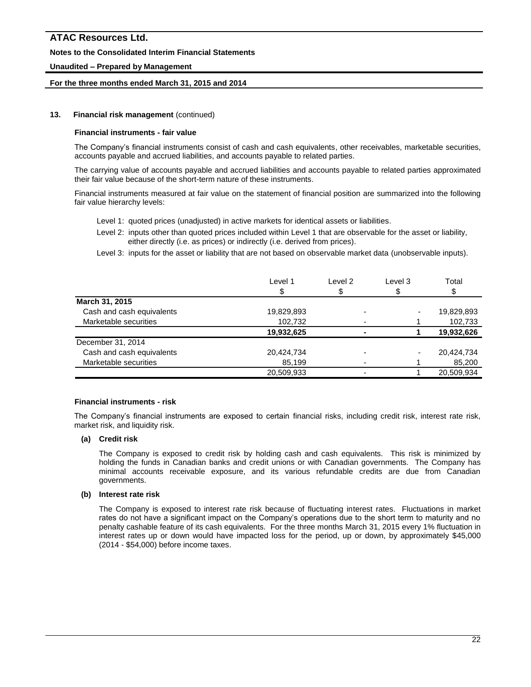#### **Notes to the Consolidated Interim Financial Statements**

### **Unaudited – Prepared by Management**

#### **For the three months ended March 31, 2015 and 2014**

#### **13. Financial risk management** (continued)

#### **Financial instruments - fair value**

The Company's financial instruments consist of cash and cash equivalents, other receivables, marketable securities, accounts payable and accrued liabilities, and accounts payable to related parties.

The carrying value of accounts payable and accrued liabilities and accounts payable to related parties approximated their fair value because of the short-term nature of these instruments.

Financial instruments measured at fair value on the statement of financial position are summarized into the following fair value hierarchy levels:

- Level 1: quoted prices (unadjusted) in active markets for identical assets or liabilities.
- Level 2: inputs other than quoted prices included within Level 1 that are observable for the asset or liability, either directly (i.e. as prices) or indirectly (i.e. derived from prices).
- Level 3: inputs for the asset or liability that are not based on observable market data (unobservable inputs).

| Level 1    | Level 2 | Level 3 | Total      |
|------------|---------|---------|------------|
| \$         |         |         |            |
|            |         |         |            |
| 19,829,893 |         |         | 19,829,893 |
| 102,732    |         |         | 102,733    |
| 19,932,625 |         |         | 19,932,626 |
|            |         |         |            |
| 20,424,734 |         |         | 20,424,734 |
| 85,199     |         |         | 85,200     |
| 20,509,933 |         |         | 20,509,934 |
|            |         |         |            |

#### **Financial instruments - risk**

The Company's financial instruments are exposed to certain financial risks, including credit risk, interest rate risk, market risk, and liquidity risk.

#### **(a) Credit risk**

The Company is exposed to credit risk by holding cash and cash equivalents. This risk is minimized by holding the funds in Canadian banks and credit unions or with Canadian governments. The Company has minimal accounts receivable exposure, and its various refundable credits are due from Canadian governments.

#### **(b) Interest rate risk**

The Company is exposed to interest rate risk because of fluctuating interest rates. Fluctuations in market rates do not have a significant impact on the Company's operations due to the short term to maturity and no penalty cashable feature of its cash equivalents. For the three months March 31, 2015 every 1% fluctuation in interest rates up or down would have impacted loss for the period, up or down, by approximately \$45,000 (2014 - \$54,000) before income taxes.